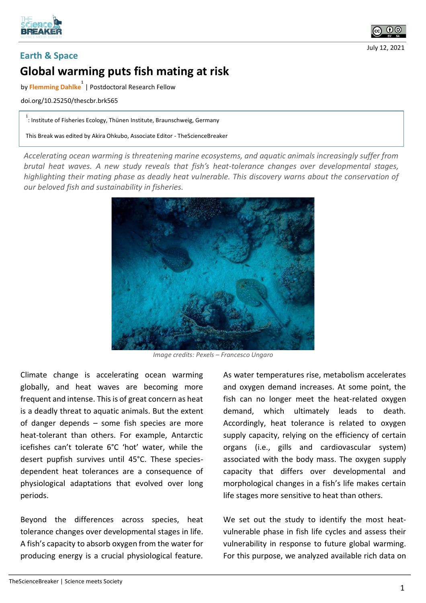



July 12, 2021

## **Earth & Space**

## **Global warming puts fish mating at risk**

by **Flemming Dahlke 1** | Postdoctoral Research Fellow

doi.org/10.25250/thescbr.brk565

<sup>1</sup> : Institute of Fisheries Ecology, Thünen Institute, Braunschweig, Germany

This Break was edited by Akira Ohkubo, Associate Editor - TheScienceBreaker

*Accelerating ocean warming is threatening marine ecosystems, and aquatic animals increasingly suffer from brutal heat waves. A new study reveals that fish's heat-tolerance changes over developmental stages, highlighting their mating phase as deadly heat vulnerable. This discovery warns about the conservation of our beloved fish and sustainability in fisheries.* 



*Image credits: Pexels – Francesco Ungaro*

Climate change is accelerating ocean warming globally, and heat waves are becoming more frequent and intense. This is of great concern as heat is a deadly threat to aquatic animals. But the extent of danger depends – some fish species are more heat-tolerant than others. For example, Antarctic icefishes can't tolerate 6°C 'hot' water, while the desert pupfish survives until 45°C. These speciesdependent heat tolerances are a consequence of physiological adaptations that evolved over long periods.

Beyond the differences across species, heat tolerance changes over developmental stages in life. A fish's capacity to absorb oxygen from the water for producing energy is a crucial physiological feature.

As water temperatures rise, metabolism accelerates and oxygen demand increases. At some point, the fish can no longer meet the heat-related oxygen demand, which ultimately leads to death. Accordingly, heat tolerance is related to oxygen supply capacity, relying on the efficiency of certain organs (i.e., gills and cardiovascular system) associated with the body mass. The oxygen supply capacity that differs over developmental and morphological changes in a fish's life makes certain life stages more sensitive to heat than others.

We set out the study to identify the most heatvulnerable phase in fish life cycles and assess their vulnerability in response to future global warming. For this purpose, we analyzed available rich data on